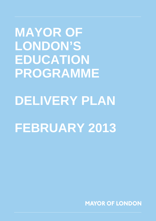**MAYOR OF LONDON'S EDUCATION PROGRAMME DELIVERY PLAN** 

# **FEBRUARY 2013**

**MAYOR OF LONDON**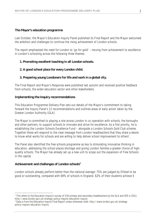# **The Mayor's education programme**

Last October, the Mayor's Education Inquiry Panel published its Final Report and the Mayor welcomed the ambition and challenges to continue the rising achievement of London schools.

The report emphasised the need for London to 'go for gold' – moving from achievement to excellence in London's schooling across the following three themes:

# **1. Promoting excellent teaching in all London schools.**

**2. A good school place for every London child.**

# **3. Preparing young Londoners for life and work in a global city.**

The Final Report and Mayor's Response were published last autumn and received positive feedback from schools, the wider education sector and other stakeholders.

# **Implementing the Inquiry recommendations**

This Education Programme Delivery Plan sets out details of the Mayor's commitment to taking forward the Inquiry Panel's 12 recommendations and outlines areas of early action taken by the Greater London Authority (GLA).

The Mayor is committed to playing a role across London in co-operation with schools, the boroughs and other partners, to support schools to innovate and strive for excellence. As a first priority, he is establishing the London Schools Excellence Fund – alongside a London Schools Gold Club scheme. Together these will respond to the clear message from London headteachers that they share a desire to know what works for schools and are willing to help deliver school improvement to others<sup>1</sup>.

The Panel also identified the free schools programme as key to stimulating innovative thinking in education, addressing the school places shortage and giving London families a greater choice of highquality schools. The Mayor has already set up a new unit to scope out the expansion of Free Schools in the capital.

# **Achievement and challenges of London schools<sup>2</sup>**

London schools already perform better than the national average: 75% are judged by Ofsted to be good or outstanding, compared with 69% of schools in England. 62% of their students achieve 5

 $\overline{a}$ <sup>1</sup> This refers to the Education Inquiry's survey of 530 primary and secondary headteachers by the GLA and DfE in 2012. http://www.london.gov.uk/strategy-policy/mayors-education-inquiry

<sup>&</sup>lt;sup>2</sup> Data is from the Education Inquiry Final Report unless otherwise cited. http://www.london.gov.uk/strategypolicy/mayors-education-inquiry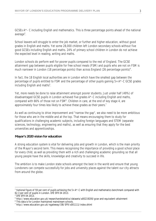GCSEs A\*- C including English and mathematics. This is three percentage points ahead of the national average<sup>3</sup>.

School leavers will struggle to enter the job market, or further and higher education, without good grades in English and maths. Yet some 28,000 children left London secondary schools without five good GCSEs including English and maths. 24% of primary school children in London do not achieve the expected level in reading, writing and maths.

London schools do perform well for poorer pupils compared to the rest of England. The GCSE attainment gap between pupils eligible for free school meals (FSM) and pupils who are not on FSM is much narrower in London (18 percentage points) than across England (26 percentage points)<sup>4</sup>.

In fact, the 18 English local authorities are in London which have the smallest gap between the percentage of pupils entitled to FSM and the percentage of other pupils gaining 5+ A\*-C GCSE grades including English and maths 5 .

Yet, more needs be done to raise attainment amongst poorer students. Just under half (49%) of disadvantaged GCSE pupils in London achieved five grades A\*-C including English and maths, compared with 66% of those not on FSM<sup>6</sup>. Children in care, at the end of key stage 4, are approximately four times less likely to achieve these grades as their peers.<sup>7</sup>

As well as continuing to drive improvement and "narrow the gap", we also need to be more ambitious for those who are in the middle and at the top. That means encouraging them to study for qualifications in challenging academic subjects, including foreign languages and STEM (separate sciences, technology, engineering and maths), as well as ensuring that they apply for the best universities and apprenticeships.

# **Mayor's 2020 vision for education**

A strong education system is vital for delivering jobs and growth in London, which is the main priority of the Mayor's second term. This means recognising the importance of providing a good school place for every child, as well as providing them with a rich and challenging academic grounding so that all young people have the skills, knowledge and creativity to succeed in life.

The ambition is to make London state schools amongst the best in the world and ensure that young Londoners can compete successfully for jobs and university places against the talent our city attracts from around the globe.

 $\overline{a}$ National figure of 59 per cent of pupils achieving the 5+ A\*-C with English and mathematics benchmark compared with 62.3 per cent of pupils in London. DfE SFR 04 2013.

<sup>4</sup> DfE SFR 04 2013.

<sup>5</sup> http://www.education.gov.uk/researchandstatistics/datasets/a00219200/gcse-and-equivalent-attainment

<sup>6</sup> This data is for London maintained mainstream schools.

<sup>7</sup> http://www.education.gov.uk/rsgateway/DB/SFR/s001111/index.shtml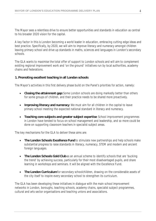The Mayor sees a relentless drive to ensure better opportunities and standards in education as central to his broader 2020 vision for the capital.

A key factor in this is London becoming a world leader in education, embracing cutting edge ideas and best practice. Specifically, by 2020, we will aim to improve literacy and numeracy amongst children leaving primary school and drive up standards in maths, sciences and languages in London's secondary schools.

The GLA wants to maximise the total offer of support to London schools and will aim to complement existing regional improvement work and 'on the ground' initiatives run by local authorities, academy chains and federations.

# **1. Promoting excellent teaching in all London schools**

The Mayor's activities in this first delivery phase build on the Panel's priorities for action, namely:

- **Closing the attainment gap:** Some London schools are doing markedly better than others for some groups of children, and their practice needs to be shared more proactively.
- **Improving literacy and numeracy**: We must aim for all children in the capital to leave primary school meeting the expected national standard in literacy and numeracy.
- **Teaching core subjects and greater subject expertise**: School improvement programmes in London have tended to focus on school management and leadership, and so more could be done on supporting classroom teachers in specialist subject areas.

The key mechanisms for the GLA to deliver these aims are:

- **The London Schools Excellence Fund** to stimulate new partnerships and help schools make substantial progress to raise standards in literacy, numeracy, STEM and modern and ancient foreign languages.
- **The London Schools Gold Club** as an annual scheme to identify schools that are 'bucking the trend' by achieving success, particularly for their most disadvantaged pupils, and share learning in workshops and seminars. It will be aligned with the Excellence Fund.
- **The London Curriculum** for secondary schoolchildren, drawing on the considerable assets of the city itself to inspire every secondary school to strengthen its curriculum.

The GLA has been developing these initiatives in dialogue with the main school improvement networks in London, boroughs, teaching schools, academy chains, specialist subject programmes, cultural and arts sector organisations and teaching unions and associations.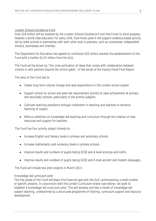# London Schools Excellence Fund

Over £24 million will be invested by the London Schools Excellence Fund (the Fund) to drive progress towards a world class education for every child. Over three years it will support evidence based activity led by state schools in partnership with each other and/or partners, such as universities, independent schools, businesses and charities.

The Department for Education has agreed to contribute £20 million towards the establishment of this Fund with a further £4.25 million from the GLA.

The Fund will be driven by "the cross-pollination of ideas that comes with collaboration between schools or with partners beyond the school gates", in the words of the Inquiry Panel Final Report.

The aims of the Fund are to:

- Create long term cultural change and raise expectations in the London school system
- Support school-to-school and peer-led improvement activity to raise achievement at primary and secondary schools, particularly in the priority subjects
- Cultivate teaching excellence through investment in teaching and teachers to enhance teaching of subject
- Refocus attention on knowledge-led teaching and curriculum through the creation of new resources and support for teachers.

The Fund has four priority subject strands to:

- Increase English and literacy levels in primary and secondary schools
- Increase mathematics and numeracy levels in primary schools
- Improve results and numbers of pupils taking GCSE and A level sciences and maths
- Improve results and numbers of pupils taking GCSE and A level ancient and modern languages.

The Fund will initiate two pilot projects in March 2013:

# *Knowledge-led curriculum pilot*

The first phase of the Fund will begin this financial year with the GLA commissioning a small number of specific projects. In conjunction with the London Curriculum strand (see below), we want to establish a knowledge-led curriculum pilot. This will develop and test a model of knowledge-led subject teaching, underpinned by a structured programme of training, curriculum support and resource development.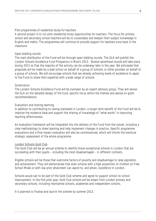#### *Pilot programmes of residential study for teachers*

A second project is to run pilot residential study opportunities for teachers. The focus for primary school and secondary school teachers will be to consolidate and deepen their subject knowledge in English and maths. The programmes will continue to provide support for teachers once back in the classroom.

#### *Open bidding rounds*

The main distribution of the Fund will be through open bidding rounds. The GLA will publish the London Schools Excellence Fund Prospectus in March 2013. Several advertised rounds will take place during 2013 so that the majority of the activity can be underway later in the year. We anticipate that proposals will be made by a lead school on behalf of a group of schools, or other provider on behalf of a group of schools. We will encourage schools that are already achieving levels of excellence to apply to the Fund to share their expertise with a wide range of schools.

#### *Governance*

The London Schools Excellence Fund will be overseen by an expert advisory group. They will advise the GLA on the detailed design of the fund, specific focus within the themes and advise on grant recommendations

#### *Evaluation and sharing learning*

In addition to contributing to raising standards in London, a longer term benefit of the Fund will be to improve the evidence base and support the sharing of knowledge of "what works" in improving teaching effectiveness.

An evaluation framework will be integrated into the delivery of the Fund from the outset, including a clear methodology to share learning and help implement changes in practice. Specific programme evaluations and a final impact evaluation will also be commissioned, which will inform the eventual strategic assessment of the whole programme.

#### London Schools Gold Club

The Gold Club will be an annual scheme to identify those exceptional schools in London that are succeeding with their pupils – including the most disadvantaged – in different contexts.

Eligible schools will be those that overcome factors of poverty and disadvantage to raise aspiration and achievement. They will demonstrate that even schools with a high proportion of children on Free School Meals or with low prior attainment can aspire to, and attain, excellence in London.

Schools would opt to be part of the Gold Club scheme and agree to support school-to-school improvement. In the first pilot year, Gold Club schools will be drawn from London primary and secondary schools, including maintained schools, academies and independent schools.

It is planned to finalise and launch the scheme by summer 2013.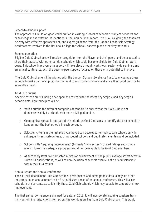#### *School-to-school support*

The approach will build on good collaboration in existing clusters of schools or subject networks and "knowledge in the system", as identified in the Inquiry Final Report. The GLA is aligning the scheme's delivery with effective approaches of, and expert guidance from, the London Leadership Strategy, headteachers involved in the National College for School Leadership and other key networks.

#### *Scheme operation*

Eligible Gold Club schools will receive recognition from the Mayor and their peers, and be expected to share their practice with other London schools which could become eligible for Gold Club in future years. This school improvement support will take place through workshops, sector-wide seminars and an annual conference, with the peer-to-peer support focused on those with potential to improve.

The Gold Club scheme will be aligned with the London Schools Excellence Fund, to encourage these schools to make partnership bids to the Fund to work collaboratively and share their good practice to raise attainment.

#### *Gold Club criteria*

Specific criteria are still being developed and tested with the latest Key Stage 2 and Key Stage 4 schools data. Core principles will be:

- o Varied criteria for different categories of schools, to ensure that the Gold Club is not dominated solely by schools with more privileged intakes.
- o Geographical spread is not part of the criteria as Gold Club aims to identify the best schools in London, not the best schools in each borough.
- o Selection criteria in the first pilot year have been developed for mainstream schools only; in subsequent years categories such as special schools and pupil referral units could be included.
- o Schools with "requiring improvement" (formerly "satisfactory") Ofsted ratings and schools making lower than adequate progress would not be eligible to be Gold Club members.
- o At secondary level, we will factor in rates of achievement of the pupils' average scores across a suite of 8 qualifications, as well as non-inclusion of schools over-reliant on "equivalencies" within their KS4 results.

#### *Annual report and annual conference*

The GLA will disseminate Gold Club schools' performance and demographic data, alongside other indicators, in an annual report to be first published ahead of an annual conference. This will allow schools in similar contexts to identify those Gold Club schools which may be able to support their own improvement.

The first annual conference is planned for autumn 2013. It will incorporate inspiring speakers from high-performing jurisdictions from across the world, as well as from Gold Club schools. This would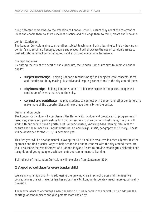bring different approaches to the attention of London schools, ensure they are at the forefront of ideas and enable them to share excellent practice and challenge them to think, create and innovate.

#### London Curriculum

The London Curriculum aims to strengthen subject teaching and bring learning to life by drawing on London's extraordinary heritage, people and places. It will showcase the use of London's assets to best educational effect within a rigorous and structured educational framework.

#### *Concept and aims*

By putting the city at the heart of the curriculum, the London Curriculum aims to improve London pupils':

- **subject knowledge** helping London's teachers bring their subjects' core concepts, facts and theories to life by making illustrative and inspiring connections to the city around them.
- **city knowledge**  helping London students to become experts in the places, people and continuum of events that shape their city.
- **connect and contribute** helping students to connect with London and other Londoners, to make more of the opportunities and help shape their city for the better.

# *Design and products*

The London Curriculum will complement the National Curriculum and provide a rich programme of resources, events and partnerships for London teachers to draw on. In its first phase, the GLA will work with partners to build a portfolio of London-focused, knowledge-led learning resources for culture and the humanities (English literature, art and design, music, geography and history). These will be developed for the 2013/14 academic year.

This first year will be developmental, allowing the GLA to collate resources in other subjects, test the approach and find practical ways to help schools in London connect with the city around them. We shall also scope the establishment of a London Mayor's Award to provide meaningful celebration and recognition of young people's achievements and commitment to learning.

Full roll out of the London Curriculum will take place from September 2014.

# **2. A good school place for every London child**

We are giving a high priority to addressing the growing crisis in school places and the negative consequences this will have for families across the city. London desperately needs more good quality provision.

The Mayor wants to encourage a new generation of free schools in the capital, to help address the shortage of school places and give parents more choice by: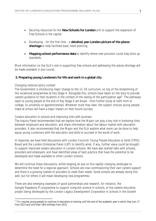- Securing resources for the **New Schools for London** unit to support the expansion of Free Schools in the capital.
- Developing for the first time a **detailed, pan-London picture of the places shortage** to help facilitate basic need planning.
- **Mapping school performance data** to identify where new provision could help drive up standards.

More information on the GLA's role in supporting free schools and addressing the places shortage will be made available in due course.

# **3. Preparing young Londoners for life and work in a global city**

# *Changing national policy context*

The Government is introducing major change to the 11-19 curriculum, on top of the streamlining of the vocational programmes at Key Stage 4. Alongside this, schools have taken on the duty to provide careers guidance to their students in the context of the raising of the participation age<sup>8</sup>. The pathways open to young people at the end of Key Stage 4 are broad - from further study at sixth form or college, to university or apprenticeships. Whatever route they take, the subject choices young people make at school will have a major impact on their future success.

# *Careers education in schools and improving links with business*

The Inquiry Panel recommended that we explore how the Mayor can play a key role in brokering links between employers and education, and share information about the labour market with education providers. It also recommended that the Mayor and the GLA explore what more can be done to help equip young Londoners with the education and skills to succeed in the world of work.

In response, we have held discussions with London Councils' Young People Education & Skills (YPES) Board and the London Enterprise Panel (LEP) to identify what, if any, further value could be brought to support improved careers education in London schools. We have also started talks with schools, providers and employers, and have identified areas of best practice that have the potential to be developed and made available to other London schools.

We will continue these discussions, whilst keeping an eye on this rapidly changing landscape to determine the need for a regional approach. Schools are now commissioning their own careers support and there is a growing market of providers to meet their needs. Some schools are already doing this well, but for others it will mean developing new programmes.

There are also emerging examples of good partnerships and research, for instance, the Google/Raspberry Pi programme to support computer science in schools, or the careers education project being developed by the London Legacy Development Corporation in schools in the Growth

<sup>8&</sup>lt;br>A This requires young people to continue in education or training until the end of the academic year in which they turn 17 from 2013 and until their 18th birthday from 2015.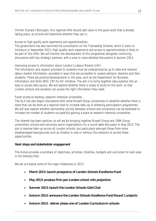(former Olympic) Boroughs. Any regional offer should add value to the good work that is already taking place, as schools will determine whether they opt in.

# *Access to high quality work experience and apprenticeships*

The government has also launched the consultation on the Traineeship Scheme, which it plans to introduce in September 2013. High quality work experience and access to apprenticeships is likely to be part of this offer. We will monitor the development of this programme alongside continuing discussions with key strategic partners, with a view to more detailed discussions in autumn 2013.

# *Improving access to information about London's Labour Market (LMI)*

The information and support provided to students must be underpinned by up to date and relevant labour market information, provided in ways that are accessible to careers advisors, teachers and their students. There are positive developments in this area, such as the Department for Business, Information and Skills (BIS) 'LMI for All' initiative. The aim is to bring together data systems into an easy to access data source. We will explore whether there is scope to build on this work, so that London schools and students can access the right information they need.

# *Fairer access to leading, research-intensive universities*

The GLA has also begun discussions with some Russell Group universities to establish whether there is more that can be done at a regional level to increase take-up of widening participation programmes. We will also explore whether partnership activity between schools and universities can be extended to increase the number of students successfully gaining a place at research-intensive universities.

The interest has been positive, so will we be bringing together Russell Group and 1994 Group universities, schools and voluntary sector organisations for a round table discussion in May 2013. The aim is improve take-up across all London schools, but particularly amongst those from more disadvantaged backgrounds such as children in care or without the networks to access these opportunities.

# **Next steps and stakeholder engagement**

The Annex provides a summary of objectives, activities, timelines, budgets and outcomes for each area in the Delivery Plan.

We set out below some of the major milestones in 2013:

- **March 2013: launch prospectus of London Schools Excellence Fund**
- **May 2013: produce first pan-London school rolls projection**
- **Summer 2013: launch the London Schools Gold Club**
- **Autumn 2013: announce the London Schools Excellence Fund Round 1 projects**
- **Autumn 2013: deliver phase one of London Curriculum in schools**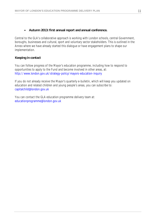# **Autumn 2013: first annual report and annual conference.**

Central to the GLA's collaborative approach is working with London schools, central Government, boroughs, businesses and cultural, sport and voluntary sector stakeholders. This is outlined in the Annex where we have already started this dialogue or have engagement plans to shape our implementation.

# **Keeping in contact**

You can follow progress of the Mayor's education programme, including how to respond to opportunities to apply to the Fund and become involved in other areas, at: http://www.london.gov.uk/strategy-policy/mayors-education-inquiry

If you do not already receive the Mayor's quarterly e-bulletin, which will keep you updated on education and related children and young people's areas, you can subscribe to: capitalchild@london.gov.uk

You can contact the GLA education programme delivery team at: educationprogramme@london.gov.uk